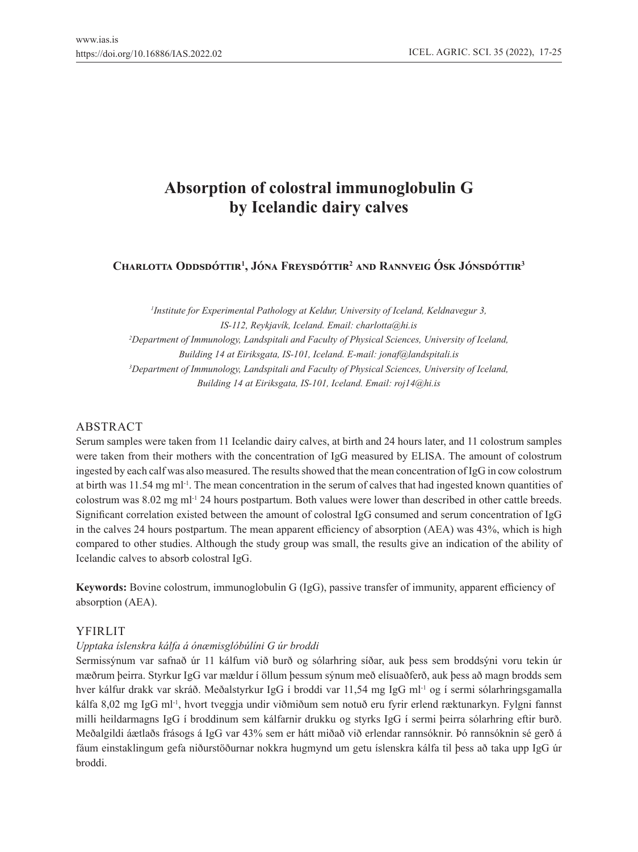# **Absorption of colostral immunoglobulin G by Icelandic dairy calves**

# **Charlotta Oddsdóttir<sup>1</sup> , Jóna Freysdóttir<sup>2</sup> and Rannveig Ósk Jónsdóttir<sup>3</sup>**

*1 Institute for Experimental Pathology at Keldur, University of Iceland, Keldnavegur 3, IS-112, Reykjavík, Iceland. Email: charlotta@hi.is 2 Department of Immunology, Landspitali and Faculty of Physical Sciences, University of Iceland, Building 14 at Eiriksgata, IS-101, Iceland. E-mail: jonaf@landspitali.is 3 Department of Immunology, Landspitali and Faculty of Physical Sciences, University of Iceland, Building 14 at Eiriksgata, IS-101, Iceland. Email: roj14@hi.is*

# ABSTRACT

Serum samples were taken from 11 Icelandic dairy calves, at birth and 24 hours later, and 11 colostrum samples were taken from their mothers with the concentration of IgG measured by ELISA. The amount of colostrum ingested by each calf was also measured. The results showed that the mean concentration of IgG in cow colostrum at birth was 11.54 mg ml<sup>-1</sup>. The mean concentration in the serum of calves that had ingested known quantities of colostrum was 8.02 mg ml<sup>-1</sup> 24 hours postpartum. Both values were lower than described in other cattle breeds. Significant correlation existed between the amount of colostral IgG consumed and serum concentration of IgG in the calves 24 hours postpartum. The mean apparent efficiency of absorption (AEA) was 43%, which is high compared to other studies. Although the study group was small, the results give an indication of the ability of Icelandic calves to absorb colostral IgG.

**Keywords:** Bovine colostrum, immunoglobulin G (IgG), passive transfer of immunity, apparent efficiency of absorption (AEA).

# YFIRLIT

### *Upptaka íslenskra kálfa á ónæmisglóbúlíni G úr broddi*

Sermissýnum var safnað úr 11 kálfum við burð og sólarhring síðar, auk þess sem broddsýni voru tekin úr mæðrum þeirra. Styrkur IgG var mældur í öllum þessum sýnum með elísuaðferð, auk þess að magn brodds sem hver kálfur drakk var skráð. Meðalstyrkur IgG í broddi var 11,54 mg IgG ml<sup>-1</sup> og í sermi sólarhringsgamalla kálfa 8,02 mg IgG ml-1, hvort tveggja undir viðmiðum sem notuð eru fyrir erlend ræktunarkyn. Fylgni fannst milli heildarmagns IgG í broddinum sem kálfarnir drukku og styrks IgG í sermi þeirra sólarhring eftir burð. Meðalgildi áætlaðs frásogs á IgG var 43% sem er hátt miðað við erlendar rannsóknir. Þó rannsóknin sé gerð á fáum einstaklingum gefa niðurstöðurnar nokkra hugmynd um getu íslenskra kálfa til þess að taka upp IgG úr broddi.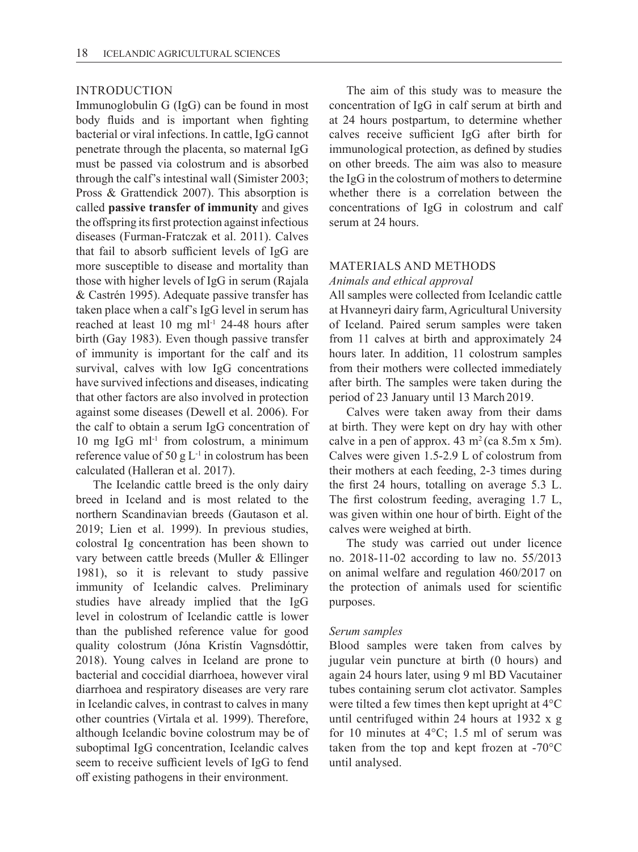## INTRODUCTION

Immunoglobulin G (IgG) can be found in most body fluids and is important when fighting bacterial or viral infections. In cattle, IgG cannot penetrate through the placenta, so maternal IgG must be passed via colostrum and is absorbed through the calf's intestinal wall (Simister 2003; Pross & Grattendick 2007). This absorption is called **passive transfer of immunity** and gives the offspring its first protection against infectious diseases (Furman-Fratczak et al. 2011). Calves that fail to absorb sufficient levels of IgG are more susceptible to disease and mortality than those with higher levels of IgG in serum (Rajala & Castrén 1995). Adequate passive transfer has taken place when a calf's IgG level in serum has reached at least 10 mg ml-1 24-48 hours after birth (Gay 1983). Even though passive transfer of immunity is important for the calf and its survival, calves with low IgG concentrations have survived infections and diseases, indicating that other factors are also involved in protection against some diseases (Dewell et al. 2006). For the calf to obtain a serum IgG concentration of 10 mg IgG m $l^{-1}$  from colostrum, a minimum reference value of 50 g  $L^{-1}$  in colostrum has been calculated (Halleran et al. 2017).

The Icelandic cattle breed is the only dairy breed in Iceland and is most related to the northern Scandinavian breeds (Gautason et al. 2019; Lien et al. 1999). In previous studies, colostral Ig concentration has been shown to vary between cattle breeds (Muller & Ellinger 1981), so it is relevant to study passive immunity of Icelandic calves. Preliminary studies have already implied that the IgG level in colostrum of Icelandic cattle is lower than the published reference value for good quality colostrum (Jóna Kristín Vagnsdóttir, 2018). Young calves in Iceland are prone to bacterial and coccidial diarrhoea, however viral diarrhoea and respiratory diseases are very rare in Icelandic calves, in contrast to calves in many other countries (Virtala et al. 1999). Therefore, although Icelandic bovine colostrum may be of suboptimal IgG concentration, Icelandic calves seem to receive sufficient levels of IgG to fend off existing pathogens in their environment.

The aim of this study was to measure the concentration of IgG in calf serum at birth and at 24 hours postpartum, to determine whether calves receive sufficient IgG after birth for immunological protection, as defined by studies on other breeds. The aim was also to measure the IgG in the colostrum of mothers to determine whether there is a correlation between the concentrations of IgG in colostrum and calf serum at 24 hours.

# MATERIALS AND METHODS

*Animals and ethical approval*

All samples were collected from Icelandic cattle at Hvanneyri dairy farm, Agricultural University of Iceland. Paired serum samples were taken from 11 calves at birth and approximately 24 hours later. In addition, 11 colostrum samples from their mothers were collected immediately after birth. The samples were taken during the period of 23 January until 13 March 2019.

Calves were taken away from their dams at birth. They were kept on dry hay with other calve in a pen of approx.  $43 \text{ m}^2$  (ca  $8.5 \text{m} \times 5 \text{m}$ ). Calves were given 1.5-2.9 L of colostrum from their mothers at each feeding, 2-3 times during the first 24 hours, totalling on average 5.3 L. The first colostrum feeding, averaging 1.7 L, was given within one hour of birth. Eight of the calves were weighed at birth.

The study was carried out under licence no. 2018-11-02 according to law no. 55/2013 on animal welfare and regulation 460/2017 on the protection of animals used for scientific purposes.

#### *Serum samples*

Blood samples were taken from calves by jugular vein puncture at birth (0 hours) and again 24 hours later, using 9 ml BD Vacutainer tubes containing serum clot activator. Samples were tilted a few times then kept upright at 4°C until centrifuged within 24 hours at 1932 x g for 10 minutes at  $4^{\circ}$ C; 1.5 ml of serum was taken from the top and kept frozen at  $-70^{\circ}$ C until analysed.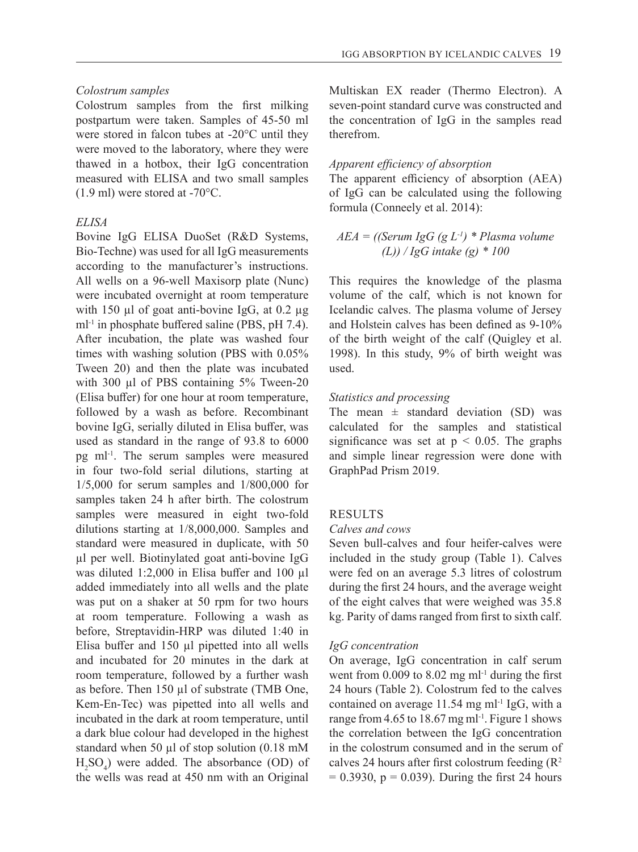# *Colostrum samples*

Colostrum samples from the first milking postpartum were taken. Samples of 45-50 ml were stored in falcon tubes at -20°C until they were moved to the laboratory, where they were thawed in a hotbox, their IgG concentration measured with ELISA and two small samples (1.9 ml) were stored at -70°C.

# *ELISA*

Bovine IgG ELISA DuoSet (R&D Systems, Bio-Techne) was used for all IgG measurements according to the manufacturer's instructions. All wells on a 96-well Maxisorp plate (Nunc) were incubated overnight at room temperature with 150 µl of goat anti-bovine IgG, at 0.2 µg ml<sup>-1</sup> in phosphate buffered saline (PBS, pH 7.4). After incubation, the plate was washed four times with washing solution (PBS with 0.05% Tween 20) and then the plate was incubated with 300 µl of PBS containing 5% Tween-20 (Elisa buffer) for one hour at room temperature, followed by a wash as before. Recombinant bovine IgG, serially diluted in Elisa buffer, was used as standard in the range of 93.8 to 6000 pg ml-1. The serum samples were measured in four two-fold serial dilutions, starting at 1/5,000 for serum samples and 1/800,000 for samples taken 24 h after birth. The colostrum samples were measured in eight two-fold dilutions starting at 1/8,000,000. Samples and standard were measured in duplicate, with 50 µl per well. Biotinylated goat anti-bovine IgG was diluted 1:2,000 in Elisa buffer and 100 µl added immediately into all wells and the plate was put on a shaker at 50 rpm for two hours at room temperature. Following a wash as before, Streptavidin-HRP was diluted 1:40 in Elisa buffer and 150 µl pipetted into all wells and incubated for 20 minutes in the dark at room temperature, followed by a further wash as before. Then 150 µl of substrate (TMB One, Kem-En-Tec) was pipetted into all wells and incubated in the dark at room temperature, until a dark blue colour had developed in the highest standard when 50  $\mu$ l of stop solution (0.18 mM  $H_2SO_4$ ) were added. The absorbance (OD) of the wells was read at 450 nm with an Original

Multiskan EX reader (Thermo Electron). A seven-point standard curve was constructed and the concentration of IgG in the samples read therefrom.

#### *Apparent efficiency of absorption*

The apparent efficiency of absorption (AEA) of IgG can be calculated using the following formula (Conneely et al. 2014):

# *AEA = ((Serum IgG (g L-1) \* Plasma volume (L)) / IgG intake (g) \* 100*

This requires the knowledge of the plasma volume of the calf, which is not known for Icelandic calves. The plasma volume of Jersey and Holstein calves has been defined as 9-10% of the birth weight of the calf (Quigley et al. 1998). In this study, 9% of birth weight was used.

#### *Statistics and processing*

The mean  $\pm$  standard deviation (SD) was calculated for the samples and statistical significance was set at  $p < 0.05$ . The graphs and simple linear regression were done with GraphPad Prism 2019.

#### RESULTS

# *Calves and cows*

Seven bull-calves and four heifer-calves were included in the study group (Table 1). Calves were fed on an average 5.3 litres of colostrum during the first 24 hours, and the average weight of the eight calves that were weighed was 35.8 kg. Parity of dams ranged from first to sixth calf.

### *IgG concentration*

On average, IgG concentration in calf serum went from  $0.009$  to  $8.02$  mg m $l$ <sup>-1</sup> during the first 24 hours (Table 2). Colostrum fed to the calves contained on average  $11.54$  mg m $l<sup>-1</sup>$  IgG, with a range from 4.65 to 18.67 mg ml<sup>-1</sup>. Figure 1 shows the correlation between the IgG concentration in the colostrum consumed and in the serum of calves 24 hours after first colostrum feeding  $(R^2)$  $= 0.3930$ ,  $p = 0.039$ ). During the first 24 hours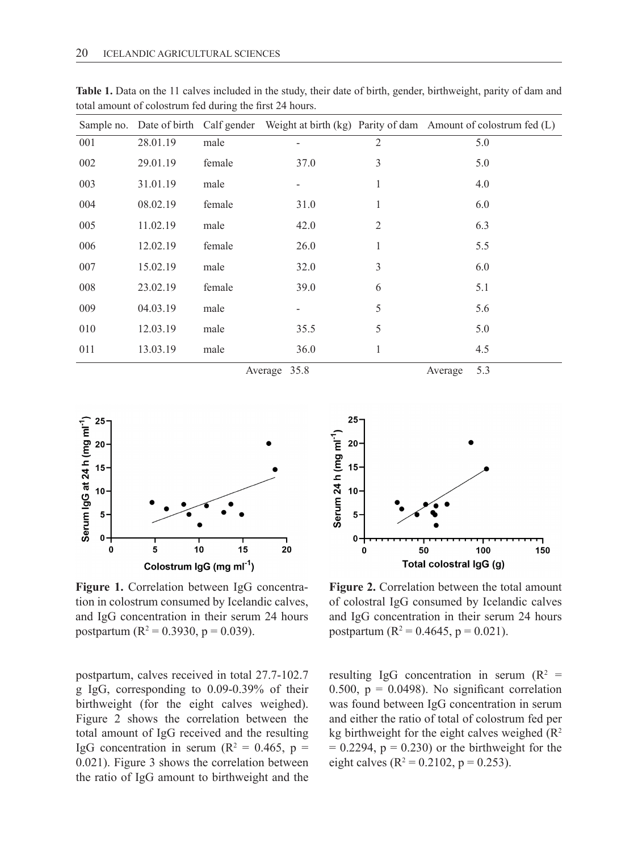|     |                            |        |                          |                | Sample no. Date of birth Calf gender Weight at birth (kg) Parity of dam Amount of colostrum fed (L) |
|-----|----------------------------|--------|--------------------------|----------------|-----------------------------------------------------------------------------------------------------|
| 001 | 28.01.19                   | male   |                          | 2              | 5.0                                                                                                 |
| 002 | 29.01.19                   | female | 37.0                     | 3              | 5.0                                                                                                 |
| 003 | 31.01.19                   | male   |                          | 1              | 4.0                                                                                                 |
| 004 | 08.02.19                   | female | 31.0                     | 1              | 6.0                                                                                                 |
| 005 | 11.02.19                   | male   | 42.0                     | $\overline{2}$ | 6.3                                                                                                 |
| 006 | 12.02.19                   | female | 26.0                     | $\mathbf{1}$   | 5.5                                                                                                 |
| 007 | 15.02.19                   | male   | 32.0                     | 3              | 6.0                                                                                                 |
| 008 | 23.02.19                   | female | 39.0                     | 6              | 5.1                                                                                                 |
| 009 | 04.03.19                   | male   | $\overline{\phantom{0}}$ | 5              | 5.6                                                                                                 |
| 010 | 12.03.19                   | male   | 35.5                     | 5              | 5.0                                                                                                 |
| 011 | 13.03.19                   | male   | 36.0                     | 1              | 4.5                                                                                                 |
|     | 35.8<br>Average<br>Average |        |                          |                | 5.3                                                                                                 |

**Table 1.** Data on the 11 calves included in the study, their date of birth, gender, birthweight, parity of dam and total amount of colostrum fed during the first 24 hours.



**Figure 1.** Correlation between IgG concentration in colostrum consumed by Icelandic calves, and IgG concentration in their serum 24 hours postpartum (R<sup>2</sup> = 0.3930, p = 0.039).

postpartum, calves received in total 27.7-102.7 g IgG, corresponding to 0.09-0.39% of their birthweight (for the eight calves weighed). Figure 2 shows the correlation between the total amount of IgG received and the resulting IgG concentration in serum ( $\mathbb{R}^2 = 0.465$ ,  $\mathbb{p} =$ 0.021). Figure 3 shows the correlation between the ratio of IgG amount to birthweight and the



**Figure 2.** Correlation between the total amount of colostral IgG consumed by Icelandic calves and IgG concentration in their serum 24 hours postpartum ( $R^2 = 0.4645$ , p = 0.021).

resulting IgG concentration in serum ( $\mathbb{R}^2$  = 0.500,  $p = 0.0498$ ). No significant correlation was found between IgG concentration in serum and either the ratio of total of colostrum fed per kg birthweight for the eight calves weighed  $(R<sup>2</sup>)$  $= 0.2294$ ,  $p = 0.230$  or the birthweight for the eight calves ( $R^2 = 0.2102$ ,  $p = 0.253$ ).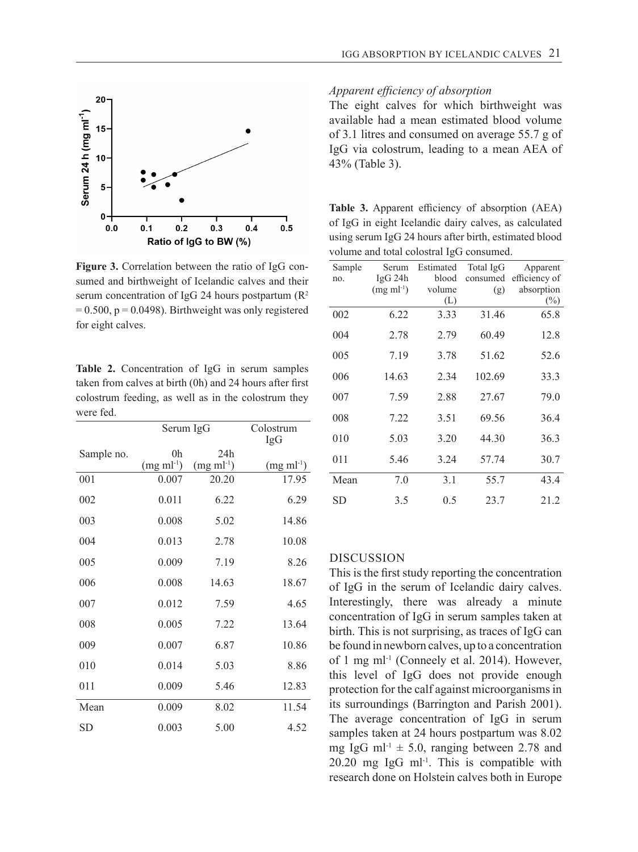

**Figure 3.** Correlation between the ratio of IgG consumed and birthweight of Icelandic calves and their serum concentration of IgG 24 hours postpartum  $(R^2)$  $= 0.500$ ,  $p = 0.0498$ ). Birthweight was only registered for eight calves.

**Table 2.** Concentration of IgG in serum samples taken from calves at birth (0h) and 24 hours after first colostrum feeding, as well as in the colostrum they were fed.

|            | Serum IgG               | Colostrum<br>IgG              |                        |
|------------|-------------------------|-------------------------------|------------------------|
| Sample no. | 0h<br>$(mg \; ml^{-1})$ | 24h<br>$(mg \text{ ml}^{-1})$ | $(mg \text{ ml}^{-1})$ |
| 001        | 0.007                   | 20.20                         | 17.95                  |
| 002        | 0.011                   | 6.22                          | 6.29                   |
| 003        | 0.008                   | 5.02                          | 14.86                  |
| 004        | 0.013                   | 2.78                          | 10.08                  |
| 005        | 0.009                   | 7.19                          | 8.26                   |
| 006        | 0.008                   | 14.63                         | 18.67                  |
| 007        | 0.012                   | 7.59                          | 4.65                   |
| 008        | 0.005                   | 7.22                          | 13.64                  |
| 009        | 0.007                   | 6.87                          | 10.86                  |
| 010        | 0.014                   | 5.03                          | 8.86                   |
| 011        | 0.009                   | 5.46                          | 12.83                  |
| Mean       | 0.009                   | 8.02                          | 11.54                  |
| SD         | 0.003                   | 5.00                          | 4.52                   |

### *Apparent efficiency of absorption*

The eight calves for which birthweight was available had a mean estimated blood volume of 3.1 litres and consumed on average 55.7 g of IgG via colostrum, leading to a mean AEA of 43% (Table 3).

**Table 3.** Apparent efficiency of absorption (AEA) of IgG in eight Icelandic dairy calves, as calculated using serum IgG 24 hours after birth, estimated blood volume and total colostral IgG consumed.

| Sample | Serum                  | Estimated | Total IgG | Apparent      |
|--------|------------------------|-----------|-----------|---------------|
| no.    | IgG 24h                | blood     | consumed  | efficiency of |
|        | $(mg \text{ ml}^{-1})$ | volume    | (g)       | absorption    |
|        |                        | (L)       |           | $(\%)$        |
| 002    | 6.22                   | 3.33      | 31.46     | 65.8          |
| 004    | 2.78                   | 2.79      | 60.49     | 12.8          |
| 005    | 7.19                   | 3.78      | 51.62     | 52.6          |
| 006    | 14.63                  | 2.34      | 102.69    | 33.3          |
| 007    | 7.59                   | 2.88      | 27.67     | 79.0          |
| 008    | 7.22                   | 3.51      | 69.56     | 36.4          |
| 010    | 5.03                   | 3.20      | 44.30     | 36.3          |
| 011    | 5.46                   | 3.24      | 57.74     | 30.7          |
| Mean   | 7.0                    | 3.1       | 55.7      | 43.4          |
| SD     | 3.5                    | 0.5       | 23.7      | 21.2          |

#### DISCUSSION

This is the first study reporting the concentration of IgG in the serum of Icelandic dairy calves. Interestingly, there was already a minute concentration of IgG in serum samples taken at birth. This is not surprising, as traces of IgG can be found in newborn calves, up to a concentration of 1 mg ml-1 (Conneely et al. 2014). However, this level of IgG does not provide enough protection for the calf against microorganisms in its surroundings (Barrington and Parish 2001). The average concentration of IgG in serum samples taken at 24 hours postpartum was 8.02 mg IgG ml<sup>-1</sup>  $\pm$  5.0, ranging between 2.78 and  $20.20$  mg IgG ml<sup>-1</sup>. This is compatible with research done on Holstein calves both in Europe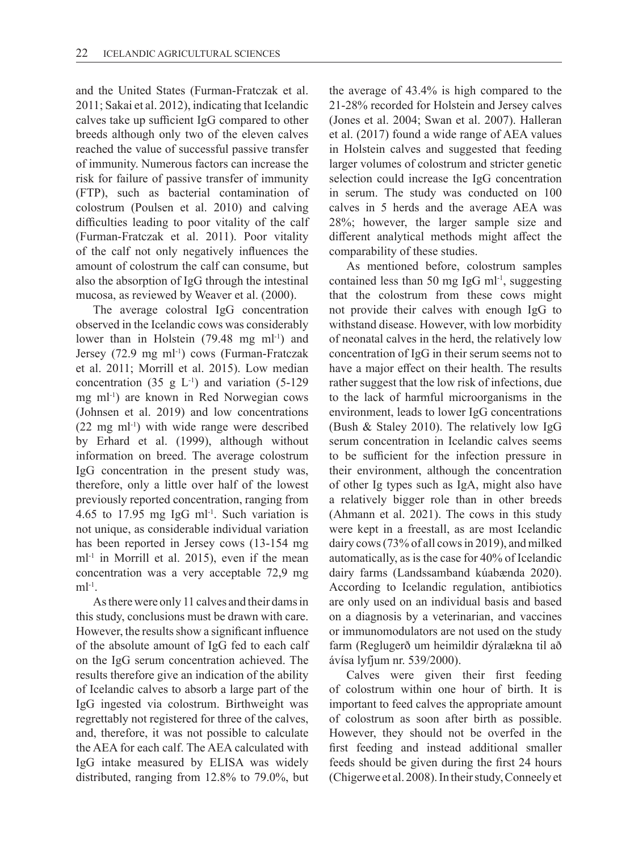and the United States (Furman-Fratczak et al. 2011; Sakai et al. 2012), indicating that Icelandic calves take up sufficient IgG compared to other breeds although only two of the eleven calves reached the value of successful passive transfer of immunity. Numerous factors can increase the risk for failure of passive transfer of immunity (FTP), such as bacterial contamination of colostrum (Poulsen et al. 2010) and calving difficulties leading to poor vitality of the calf (Furman-Fratczak et al. 2011). Poor vitality of the calf not only negatively influences the amount of colostrum the calf can consume, but also the absorption of IgG through the intestinal mucosa, as reviewed by Weaver et al. (2000).

The average colostral IgG concentration observed in the Icelandic cows was considerably lower than in Holstein (79.48 mg ml<sup>-1</sup>) and Jersey (72.9 mg ml<sup>-1</sup>) cows (Furman-Fratczak et al. 2011; Morrill et al. 2015). Low median concentration (35 g  $L^{-1}$ ) and variation (5-129) mg ml-1) are known in Red Norwegian cows (Johnsen et al. 2019) and low concentrations  $(22 \text{ mg ml}^{-1})$  with wide range were described by Erhard et al. (1999), although without information on breed. The average colostrum IgG concentration in the present study was, therefore, only a little over half of the lowest previously reported concentration, ranging from 4.65 to 17.95 mg IgG ml<sup>-1</sup>. Such variation is not unique, as considerable individual variation has been reported in Jersey cows (13-154 mg  $ml<sup>-1</sup>$  in Morrill et al. 2015), even if the mean concentration was a very acceptable 72,9 mg  $ml^{-1}$ .

As there were only 11 calves and their dams in this study, conclusions must be drawn with care. However, the results show a significant influence of the absolute amount of IgG fed to each calf on the IgG serum concentration achieved. The results therefore give an indication of the ability of Icelandic calves to absorb a large part of the IgG ingested via colostrum. Birthweight was regrettably not registered for three of the calves, and, therefore, it was not possible to calculate the AEA for each calf. The AEA calculated with IgG intake measured by ELISA was widely distributed, ranging from 12.8% to 79.0%, but

the average of 43.4% is high compared to the 21-28% recorded for Holstein and Jersey calves (Jones et al. 2004; Swan et al. 2007). Halleran et al. (2017) found a wide range of AEA values in Holstein calves and suggested that feeding larger volumes of colostrum and stricter genetic selection could increase the IgG concentration in serum. The study was conducted on 100 calves in 5 herds and the average AEA was 28%; however, the larger sample size and different analytical methods might affect the comparability of these studies.

As mentioned before, colostrum samples contained less than 50 mg IgG m $l^{-1}$ , suggesting that the colostrum from these cows might not provide their calves with enough IgG to withstand disease. However, with low morbidity of neonatal calves in the herd, the relatively low concentration of IgG in their serum seems not to have a major effect on their health. The results rather suggest that the low risk of infections, due to the lack of harmful microorganisms in the environment, leads to lower IgG concentrations (Bush & Staley 2010). The relatively low IgG serum concentration in Icelandic calves seems to be sufficient for the infection pressure in their environment, although the concentration of other Ig types such as IgA, might also have a relatively bigger role than in other breeds (Ahmann et al. 2021). The cows in this study were kept in a freestall, as are most Icelandic dairy cows (73% of all cows in 2019), and milked automatically, as is the case for 40% of Icelandic dairy farms (Landssamband kúabænda 2020). According to Icelandic regulation, antibiotics are only used on an individual basis and based on a diagnosis by a veterinarian, and vaccines or immunomodulators are not used on the study farm (Reglugerð um heimildir dýralækna til að ávísa lyfjum nr. 539/2000).

Calves were given their first feeding of colostrum within one hour of birth. It is important to feed calves the appropriate amount of colostrum as soon after birth as possible. However, they should not be overfed in the first feeding and instead additional smaller feeds should be given during the first 24 hours (Chigerwe et al. 2008). In their study, Conneely et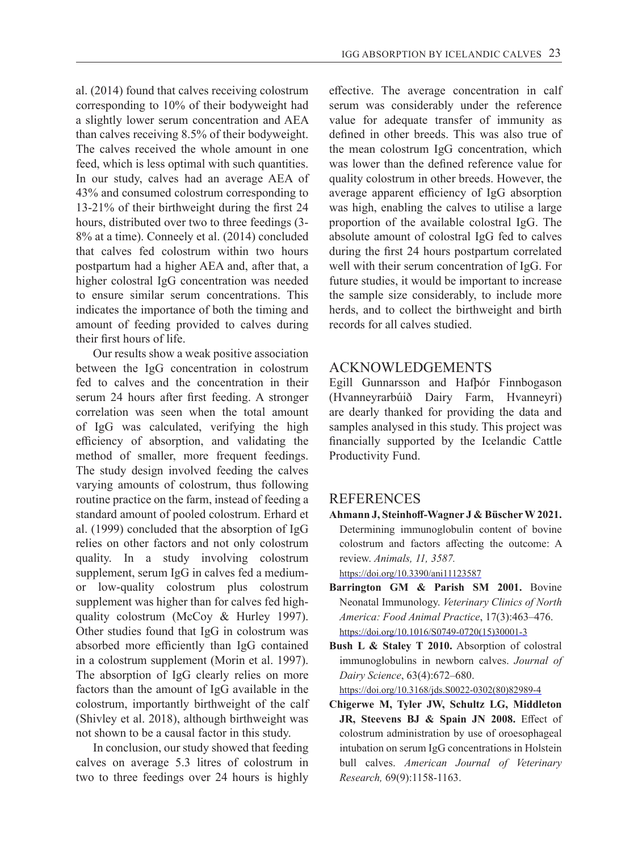al. (2014) found that calves receiving colostrum corresponding to 10% of their bodyweight had a slightly lower serum concentration and AEA than calves receiving 8.5% of their bodyweight. The calves received the whole amount in one feed, which is less optimal with such quantities. In our study, calves had an average AEA of 43% and consumed colostrum corresponding to 13-21% of their birthweight during the first 24 hours, distributed over two to three feedings (3- 8% at a time). Conneely et al. (2014) concluded that calves fed colostrum within two hours postpartum had a higher AEA and, after that, a higher colostral IgG concentration was needed to ensure similar serum concentrations. This indicates the importance of both the timing and amount of feeding provided to calves during their first hours of life.

Our results show a weak positive association between the IgG concentration in colostrum fed to calves and the concentration in their serum 24 hours after first feeding. A stronger correlation was seen when the total amount of IgG was calculated, verifying the high efficiency of absorption, and validating the method of smaller, more frequent feedings. The study design involved feeding the calves varying amounts of colostrum, thus following routine practice on the farm, instead of feeding a standard amount of pooled colostrum. Erhard et al. (1999) concluded that the absorption of IgG relies on other factors and not only colostrum quality. In a study involving colostrum supplement, serum IgG in calves fed a mediumor low-quality colostrum plus colostrum supplement was higher than for calves fed highquality colostrum (McCoy & Hurley 1997). Other studies found that IgG in colostrum was absorbed more efficiently than IgG contained in a colostrum supplement (Morin et al. 1997). The absorption of IgG clearly relies on more factors than the amount of IgG available in the colostrum, importantly birthweight of the calf (Shivley et al. 2018), although birthweight was not shown to be a causal factor in this study.

In conclusion, our study showed that feeding calves on average 5.3 litres of colostrum in two to three feedings over 24 hours is highly

effective. The average concentration in calf serum was considerably under the reference value for adequate transfer of immunity as defined in other breeds. This was also true of the mean colostrum IgG concentration, which was lower than the defined reference value for quality colostrum in other breeds. However, the average apparent efficiency of IgG absorption was high, enabling the calves to utilise a large proportion of the available colostral IgG. The absolute amount of colostral IgG fed to calves during the first 24 hours postpartum correlated well with their serum concentration of IgG. For future studies, it would be important to increase the sample size considerably, to include more herds, and to collect the birthweight and birth records for all calves studied.

# ACKNOWLEDGEMENTS

Egill Gunnarsson and Hafþór Finnbogason (Hvanneyrarbúið Dairy Farm, Hvanneyri) are dearly thanked for providing the data and samples analysed in this study. This project was financially supported by the Icelandic Cattle Productivity Fund.

# REFERENCES

**Ahmann J, Steinhoff-Wagner J & Büscher W 2021.** Determining immunoglobulin content of bovine colostrum and factors affecting the outcome: A review. *Animals, 11, 3587.*  https://doi.org/10.3390/ani11123587

**Barrington GM & Parish SM 2001.** Bovine Neonatal Immunology. *Veterinary Clinics of North America: Food Animal Practice*, 17(3):463–476. https://doi.org/10.1016/S0749-0720(15)30001-3

**Bush L & Staley T 2010.** Absorption of colostral immunoglobulins in newborn calves. *Journal of Dairy Science*, 63(4):672–680.

https://doi.org/10.3168/jds.S0022-0302(80)82989-4

**Chigerwe M, Tyler JW, Schultz LG, Middleton JR, Steevens BJ & Spain JN 2008.** Effect of colostrum administration by use of oroesophageal intubation on serum IgG concentrations in Holstein bull calves. *American Journal of Veterinary Research,* 69(9):1158-1163.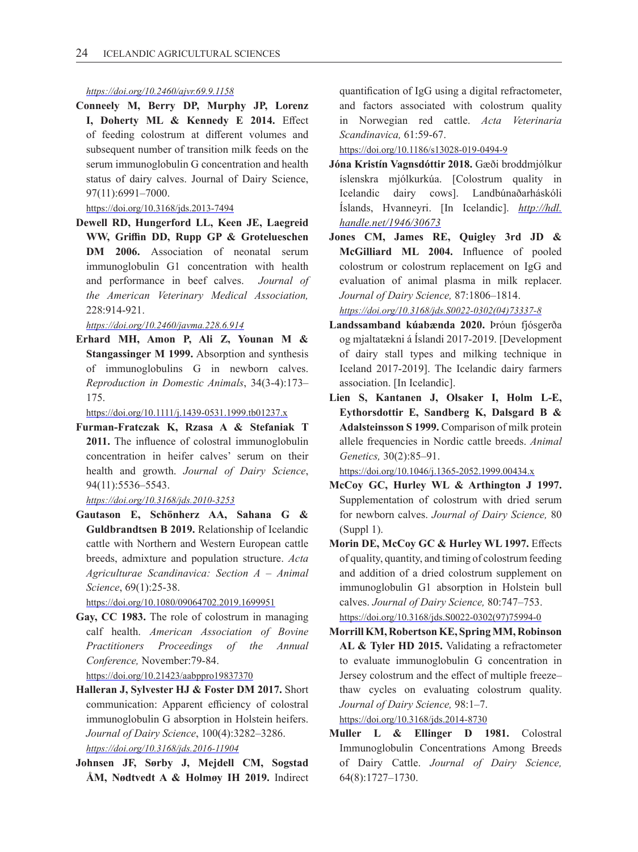#### *https://doi.org/10.2460/ajvr.69.9.1158*

**Conneely M, Berry DP, Murphy JP, Lorenz I, Doherty ML & Kennedy E 2014.** Effect of feeding colostrum at different volumes and subsequent number of transition milk feeds on the serum immunoglobulin G concentration and health status of dairy calves. Journal of Dairy Science, 97(11):6991–7000.

#### https://doi.org/10.3168/jds.2013-7494

**Dewell RD, Hungerford LL, Keen JE, Laegreid WW, Griffin DD, Rupp GP & Grotelueschen DM 2006.** Association of neonatal serum immunoglobulin G1 concentration with health and performance in beef calves.*Journal of the American Veterinary Medical Association,*  228:914-921.

*https://doi.org/10.2460/javma.228.6.914*

**Erhard MH, Amon P, Ali Z, Younan M & Stangassinger M 1999.** Absorption and synthesis of immunoglobulins G in newborn calves. *Reproduction in Domestic Animals*, 34(3-4):173– 175.

https://doi.org/10.1111/j.1439-0531.1999.tb01237.x

**Furman-Fratczak K, Rzasa A & Stefaniak T 2011.** The influence of colostral immunoglobulin concentration in heifer calves' serum on their health and growth. *Journal of Dairy Science*, 94(11):5536–5543.

*https://doi.org/10.3168/jds.2010-3253*

**Gautason E, Schönherz AA, Sahana G & Guldbrandtsen B 2019.** Relationship of Icelandic cattle with Northern and Western European cattle breeds, admixture and population structure. *Acta Agriculturae Scandinavica: Section A – Animal Science*, 69(1):25-38.

https://doi.org/10.1080/09064702.2019.1699951

- **Gay, CC 1983.** The role of colostrum in managing calf health. *American Association of Bovine Practitioners Proceedings of the Annual Conference,* November:79-84. https://doi.org/10.21423/aabppro19837370
- **Halleran J, Sylvester HJ & Foster DM 2017.** Short communication: Apparent efficiency of colostral immunoglobulin G absorption in Holstein heifers. *Journal of Dairy Science*, 100(4):3282–3286. *https://doi.org/10.3168/jds.2016-11904*
- **Johnsen JF, Sørby J, Mejdell CM, Sogstad ÅM, Nødtvedt A & Holmøy IH 2019.** Indirect

quantification of IgG using a digital refractometer, and factors associated with colostrum quality in Norwegian red cattle. *Acta Veterinaria Scandinavica,* 61:59-67.

https://doi.org/10.1186/s13028-019-0494-9

- **Jóna Kristín Vagnsdóttir 2018.** Gæði broddmjólkur íslenskra mjólkurkúa. [Colostrum quality in Icelandic dairy cows]. Landbúnaðarháskóli Íslands, Hvanneyri. [In Icelandic]. *http://hdl. handle.net/1946/30673*
- **Jones CM, James RE, Quigley 3rd JD & McGilliard ML 2004.** Influence of pooled colostrum or colostrum replacement on IgG and evaluation of animal plasma in milk replacer. *Journal of Dairy Science,* 87:1806–1814.

*https://doi.org/10.3168/jds.S0022-0302(04)73337-8*

- **Landssamband kúabænda 2020.** Þróun fjósgerða og mjaltatækni á Íslandi 2017-2019. [Development of dairy stall types and milking technique in Iceland 2017-2019]. The Icelandic dairy farmers association. [In Icelandic].
- **Lien S, Kantanen J, Olsaker I, Holm L-E, Eythorsdottir E, Sandberg K, Dalsgard B & Adalsteinsson S 1999.** Comparison of milk protein allele frequencies in Nordic cattle breeds. *Animal Genetics,* 30(2):85–91.

https://doi.org/10.1046/j.1365-2052.1999.00434.x

- **McCoy GC, Hurley WL & Arthington J 1997.** Supplementation of colostrum with dried serum for newborn calves. *Journal of Dairy Science,* 80 (Suppl 1).
- **Morin DE, McCoy GC & Hurley WL 1997.** Effects of quality, quantity, and timing of colostrum feeding and addition of a dried colostrum supplement on immunoglobulin G1 absorption in Holstein bull calves. *Journal of Dairy Science,* 80:747–753. https://doi.org/10.3168/jds.S0022-0302(97)75994-0
- **Morrill KM, Robertson KE, Spring MM, Robinson AL & Tyler HD 2015.** Validating a refractometer to evaluate immunoglobulin G concentration in Jersey colostrum and the effect of multiple freeze– thaw cycles on evaluating colostrum quality. *Journal of Dairy Science,* 98:1–7.

https://doi.org/10.3168/jds.2014-8730

**Muller L & Ellinger D 1981.** Colostral Immunoglobulin Concentrations Among Breeds of Dairy Cattle. *Journal of Dairy Science,* 64(8):1727–1730.